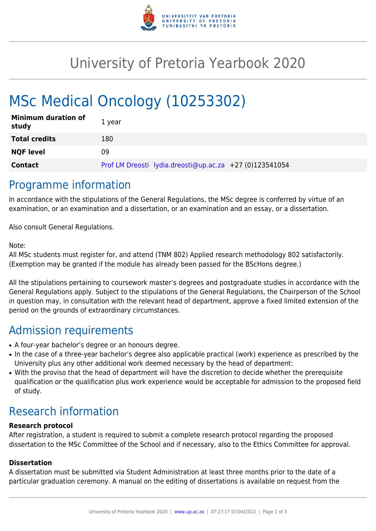

## University of Pretoria Yearbook 2020

# MSc Medical Oncology (10253302)

| <b>Minimum duration of</b><br>study | 1 year                                                  |
|-------------------------------------|---------------------------------------------------------|
| <b>Total credits</b>                | 180                                                     |
| <b>NQF level</b>                    | 09                                                      |
| <b>Contact</b>                      | Prof LM Dreosti lydia.dreosti@up.ac.za +27 (0)123541054 |

### Programme information

In accordance with the stipulations of the General Regulations, the MSc degree is conferred by virtue of an examination, or an examination and a dissertation, or an examination and an essay, or a dissertation.

Also consult General Regulations.

#### Note:

All MSc students must register for, and attend (TNM 802) Applied research methodology 802 satisfactorily. (Exemption may be granted if the module has already been passed for the BScHons degree.)

All the stipulations pertaining to coursework master's degrees and postgraduate studies in accordance with the General Regulations apply. Subject to the stipulations of the General Regulations, the Chairperson of the School in question may, in consultation with the relevant head of department, approve a fixed limited extension of the period on the grounds of extraordinary circumstances.

### Admission requirements

- A four-year bachelor's degree or an honours degree.
- In the case of a three-year bachelor's degree also applicable practical (work) experience as prescribed by the University plus any other additional work deemed necessary by the head of department:
- With the proviso that the head of department will have the discretion to decide whether the prerequisite qualification or the qualification plus work experience would be acceptable for admission to the proposed field of study.

### Research information

#### **Research protocol**

After registration, a student is required to submit a complete research protocol regarding the proposed dissertation to the MSc Committee of the School and if necessary, also to the Ethics Committee for approval.

#### **Dissertation**

A dissertation must be submitted via Student Administration at least three months prior to the date of a particular graduation ceremony. A manual on the editing of dissertations is available on request from the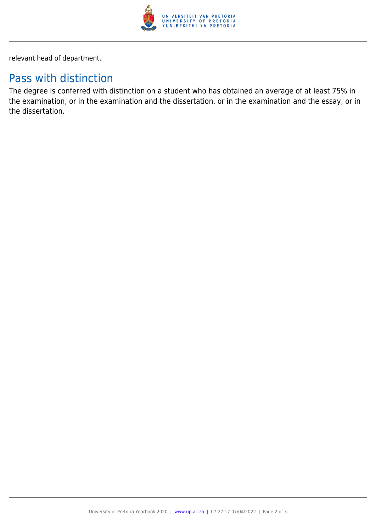

relevant head of department.

### Pass with distinction

The degree is conferred with distinction on a student who has obtained an average of at least 75% in the examination, or in the examination and the dissertation, or in the examination and the essay, or in the dissertation.